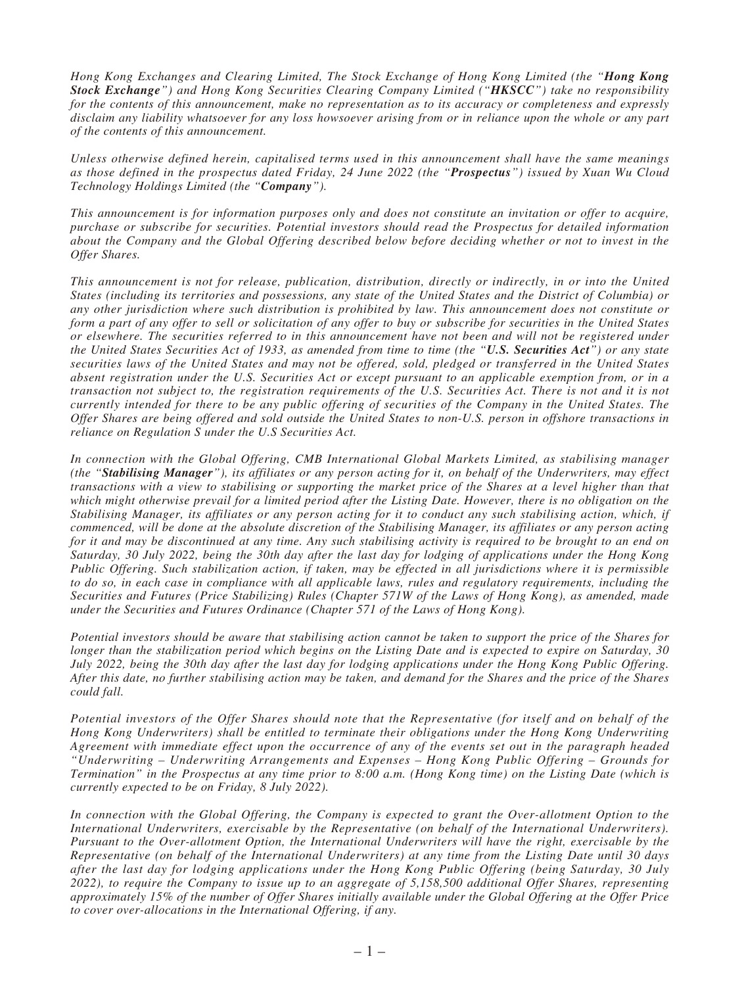*Hong Kong Exchanges and Clearing Limited, The Stock Exchange of Hong Kong Limited (the "Hong Kong Stock Exchange") and Hong Kong Securities Clearing Company Limited ("HKSCC") take no responsibility for the contents of this announcement, make no representation as to its accuracy or completeness and expressly disclaim any liability whatsoever for any loss howsoever arising from or in reliance upon the whole or any part of the contents of this announcement.*

*Unless otherwise defined herein, capitalised terms used in this announcement shall have the same meanings as those defined in the prospectus dated Friday, 24 June 2022 (the "Prospectus") issued by Xuan Wu Cloud Technology Holdings Limited (the "Company").*

*This announcement is for information purposes only and does not constitute an invitation or offer to acquire, purchase or subscribe for securities. Potential investors should read the Prospectus for detailed information about the Company and the Global Offering described below before deciding whether or not to invest in the Offer Shares.*

*This announcement is not for release, publication, distribution, directly or indirectly, in or into the United States (including its territories and possessions, any state of the United States and the District of Columbia) or any other jurisdiction where such distribution is prohibited by law. This announcement does not constitute or form a part of any offer to sell or solicitation of any offer to buy or subscribe for securities in the United States or elsewhere. The securities referred to in this announcement have not been and will not be registered under the United States Securities Act of 1933, as amended from time to time (the "U.S. Securities Act") or any state securities laws of the United States and may not be offered, sold, pledged or transferred in the United States absent registration under the U.S. Securities Act or except pursuant to an applicable exemption from, or in a transaction not subject to, the registration requirements of the U.S. Securities Act. There is not and it is not currently intended for there to be any public offering of securities of the Company in the United States. The Offer Shares are being offered and sold outside the United States to non-U.S. person in offshore transactions in reliance on Regulation S under the U.S Securities Act.*

*In connection with the Global Offering, CMB International Global Markets Limited, as stabilising manager (the "Stabilising Manager"), its affiliates or any person acting for it, on behalf of the Underwriters, may effect transactions with a view to stabilising or supporting the market price of the Shares at a level higher than that which might otherwise prevail for a limited period after the Listing Date. However, there is no obligation on the Stabilising Manager, its affiliates or any person acting for it to conduct any such stabilising action, which, if commenced, will be done at the absolute discretion of the Stabilising Manager, its affiliates or any person acting for it and may be discontinued at any time. Any such stabilising activity is required to be brought to an end on Saturday, 30 July 2022, being the 30th day after the last day for lodging of applications under the Hong Kong Public Offering. Such stabilization action, if taken, may be effected in all jurisdictions where it is permissible to do so, in each case in compliance with all applicable laws, rules and regulatory requirements, including the Securities and Futures (Price Stabilizing) Rules (Chapter 571W of the Laws of Hong Kong), as amended, made under the Securities and Futures Ordinance (Chapter 571 of the Laws of Hong Kong).*

*Potential investors should be aware that stabilising action cannot be taken to support the price of the Shares for longer than the stabilization period which begins on the Listing Date and is expected to expire on Saturday, 30 July 2022, being the 30th day after the last day for lodging applications under the Hong Kong Public Offering. After this date, no further stabilising action may be taken, and demand for the Shares and the price of the Shares could fall.*

*Potential investors of the Offer Shares should note that the Representative (for itself and on behalf of the Hong Kong Underwriters) shall be entitled to terminate their obligations under the Hong Kong Underwriting Agreement with immediate effect upon the occurrence of any of the events set out in the paragraph headed "Underwriting – Underwriting Arrangements and Expenses – Hong Kong Public Offering – Grounds for Termination" in the Prospectus at any time prior to 8:00 a.m. (Hong Kong time) on the Listing Date (which is currently expected to be on Friday, 8 July 2022).*

*In connection with the Global Offering, the Company is expected to grant the Over-allotment Option to the International Underwriters, exercisable by the Representative (on behalf of the International Underwriters). Pursuant to the Over-allotment Option, the International Underwriters will have the right, exercisable by the Representative (on behalf of the International Underwriters) at any time from the Listing Date until 30 days after the last day for lodging applications under the Hong Kong Public Offering (being Saturday, 30 July 2022), to require the Company to issue up to an aggregate of 5,158,500 additional Offer Shares, representing approximately 15% of the number of Offer Shares initially available under the Global Offering at the Offer Price to cover over-allocations in the International Offering, if any.*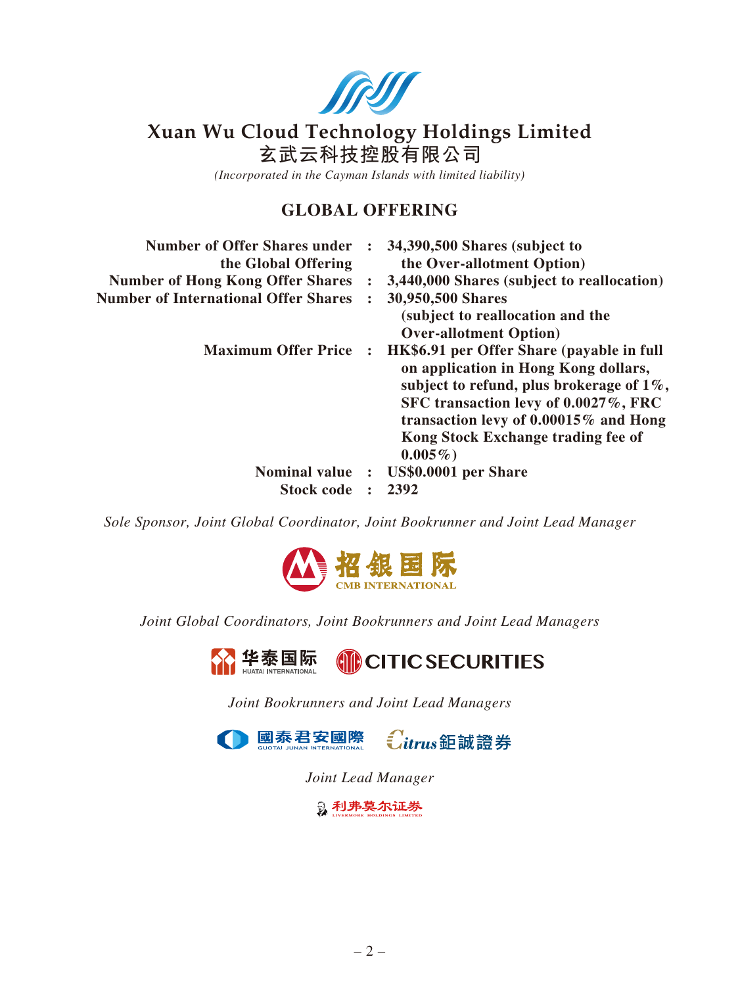

# **Xuan Wu Cloud Technology Holdings Limited**

**玄武雲科技控股有限公司**

*(Incorporated in the Cayman Islands with limited liability)*

# **GLOBAL OFFERING**

|                | 34,390,500 Shares (subject to<br>the Over-allotment Option)                                                                                                                                                                                                           |
|----------------|-----------------------------------------------------------------------------------------------------------------------------------------------------------------------------------------------------------------------------------------------------------------------|
|                | 3,440,000 Shares (subject to reallocation)                                                                                                                                                                                                                            |
|                | 30,950,500 Shares                                                                                                                                                                                                                                                     |
|                | (subject to reallocation and the<br><b>Over-allotment Option</b> )                                                                                                                                                                                                    |
|                | HK\$6.91 per Offer Share (payable in full<br>on application in Hong Kong dollars,<br>subject to refund, plus brokerage of $1\%$ ,<br>SFC transaction levy of 0.0027%, FRC<br>transaction levy of 0.00015% and Hong<br>Kong Stock Exchange trading fee of<br>$0.005\%$ |
| $\ddot{\cdot}$ | US\$0.0001 per Share                                                                                                                                                                                                                                                  |
|                | 2392                                                                                                                                                                                                                                                                  |
|                |                                                                                                                                                                                                                                                                       |

*Sole Sponsor, Joint Global Coordinator, Joint Bookrunner and Joint Lead Manager*



*Joint Global Coordinators, Joint Bookrunners and Joint Lead Managers*

L<mark>华泰国际</mark> **CITIC SECURITIES** 

*Joint Bookrunners and Joint Lead Managers*



*Joint Lead Manager*

**2 利弗莫尔证券**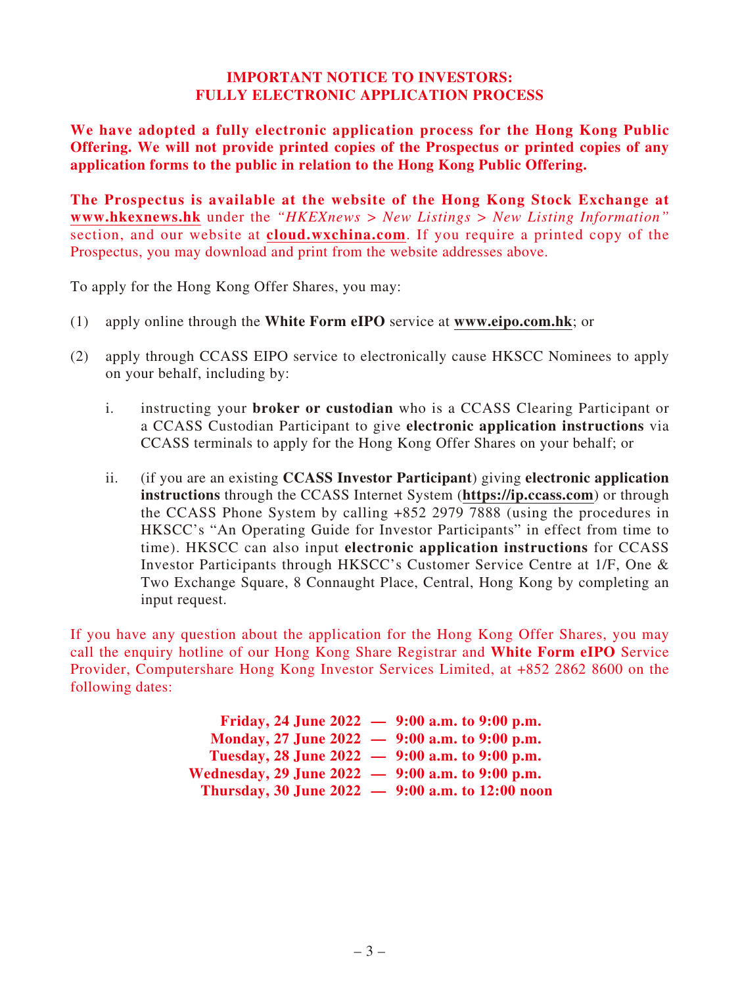#### **IMPORTANT NOTICE TO INVESTORS: FULLY ELECTRONIC APPLICATION PROCESS**

**We have adopted a fully electronic application process for the Hong Kong Public Offering. We will not provide printed copies of the Prospectus or printed copies of any application forms to the public in relation to the Hong Kong Public Offering.**

**The Prospectus is available at the website of the Hong Kong Stock Exchange at www.hkexnews.hk** under the *"HKEXnews > New Listings > New Listing Information"* section, and our website at **cloud.wxchina.com**. If you require a printed copy of the Prospectus, you may download and print from the website addresses above.

To apply for the Hong Kong Offer Shares, you may:

- (1) apply online through the **White Form eIPO** service at **www.eipo.com.hk**; or
- (2) apply through CCASS EIPO service to electronically cause HKSCC Nominees to apply on your behalf, including by:
	- i. instructing your **broker or custodian** who is a CCASS Clearing Participant or a CCASS Custodian Participant to give **electronic application instructions** via CCASS terminals to apply for the Hong Kong Offer Shares on your behalf; or
	- ii. (if you are an existing **CCASS Investor Participant**) giving **electronic application instructions** through the CCASS Internet System (**https://ip.ccass.com**) or through the CCASS Phone System by calling +852 2979 7888 (using the procedures in HKSCC's "An Operating Guide for Investor Participants" in effect from time to time). HKSCC can also input **electronic application instructions** for CCASS Investor Participants through HKSCC's Customer Service Centre at 1/F, One & Two Exchange Square, 8 Connaught Place, Central, Hong Kong by completing an input request.

If you have any question about the application for the Hong Kong Offer Shares, you may call the enquiry hotline of our Hong Kong Share Registrar and **White Form eIPO** Service Provider, Computershare Hong Kong Investor Services Limited, at +852 2862 8600 on the following dates:

|                                                  | Friday, 24 June 2022 $-$ 9:00 a.m. to 9:00 p.m. |
|--------------------------------------------------|-------------------------------------------------|
| Monday, 27 June 2022 - 9:00 a.m. to 9:00 p.m.    |                                                 |
| Tuesday, 28 June 2022 - 9:00 a.m. to 9:00 p.m.   |                                                 |
| Wednesday, 29 June 2022 - 9:00 a.m. to 9:00 p.m. |                                                 |
| Thursday, 30 June 2022 - 9:00 a.m. to 12:00 noon |                                                 |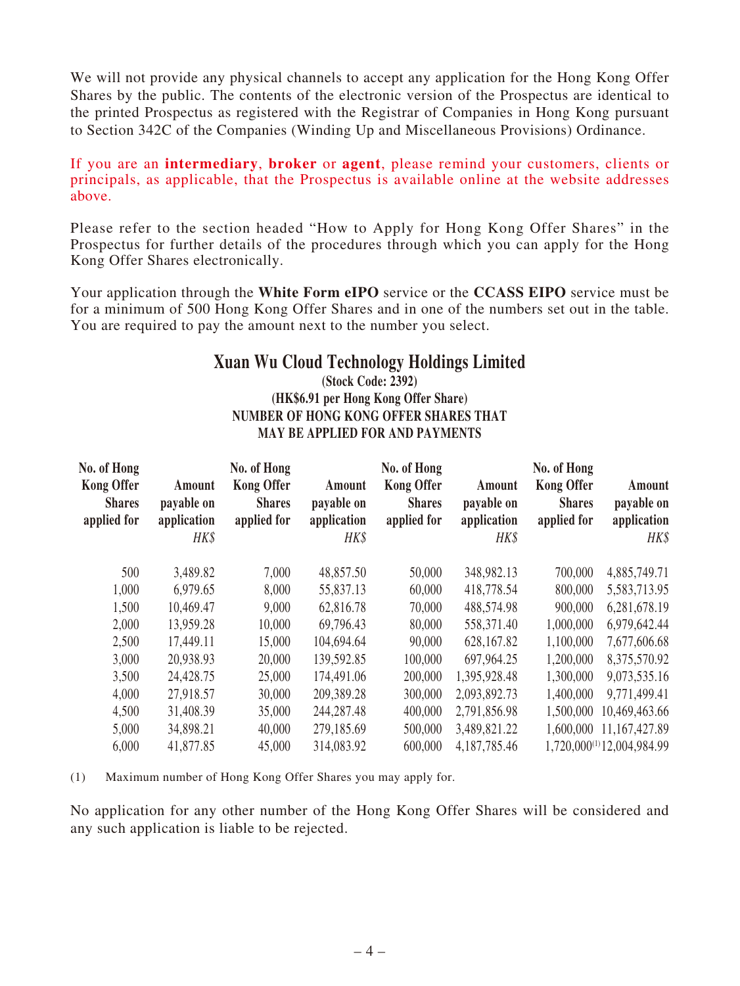We will not provide any physical channels to accept any application for the Hong Kong Offer Shares by the public. The contents of the electronic version of the Prospectus are identical to the printed Prospectus as registered with the Registrar of Companies in Hong Kong pursuant to Section 342C of the Companies (Winding Up and Miscellaneous Provisions) Ordinance.

If you are an **intermediary**, **broker** or **agent**, please remind your customers, clients or principals, as applicable, that the Prospectus is available online at the website addresses above.

Please refer to the section headed "How to Apply for Hong Kong Offer Shares" in the Prospectus for further details of the procedures through which you can apply for the Hong Kong Offer Shares electronically.

Your application through the **White Form eIPO** service or the **CCASS EIPO** service must be for a minimum of 500 Hong Kong Offer Shares and in one of the numbers set out in the table. You are required to pay the amount next to the number you select.

# **Xuan Wu Cloud Technology Holdings Limited**

### **(Stock Code: 2392) (HK\$6.91 per Hong Kong Offer Share) NUMBER OF HONG KONG OFFER SHARES THAT MAY BE APPLIED FOR AND PAYMENTS**

| No. of Hong<br><b>Kong Offer</b><br><b>Shares</b><br>applied for | Amount<br>payable on<br>application<br>HK\$ | No. of Hong<br><b>Kong Offer</b><br><b>Shares</b><br>applied for | Amount<br>payable on<br>application<br>HK\$ | No. of Hong<br><b>Kong Offer</b><br><b>Shares</b><br>applied for | Amount<br>payable on<br>application<br>HK\$ | No. of Hong<br><b>Kong Offer</b><br><b>Shares</b><br>applied for | Amount<br>payable on<br>application<br>HK\$ |
|------------------------------------------------------------------|---------------------------------------------|------------------------------------------------------------------|---------------------------------------------|------------------------------------------------------------------|---------------------------------------------|------------------------------------------------------------------|---------------------------------------------|
| 500                                                              | 3,489.82                                    | 7,000                                                            | 48,857.50                                   | 50,000                                                           | 348,982.13                                  | 700,000                                                          | 4,885,749.71                                |
| 1,000                                                            | 6,979.65                                    | 8,000                                                            | 55,837.13                                   | 60,000                                                           | 418,778.54                                  | 800,000                                                          | 5,583,713.95                                |
| 1,500                                                            | 10,469.47                                   | 9,000                                                            | 62,816.78                                   | 70,000                                                           | 488,574.98                                  | 900,000                                                          | 6,281,678.19                                |
| 2,000                                                            | 13,959.28                                   | 10,000                                                           | 69,796.43                                   | 80,000                                                           | 558,371.40                                  | 1,000,000                                                        | 6,979,642.44                                |
| 2,500                                                            | 17,449.11                                   | 15,000                                                           | 104,694.64                                  | 90,000                                                           | 628,167.82                                  | 1,100,000                                                        | 7,677,606.68                                |
| 3,000                                                            | 20,938.93                                   | 20,000                                                           | 139,592.85                                  | 100,000                                                          | 697,964.25                                  | 1,200,000                                                        | 8,375,570.92                                |
| 3,500                                                            | 24,428.75                                   | 25,000                                                           | 174,491.06                                  | 200,000                                                          | 1,395,928.48                                | 1,300,000                                                        | 9,073,535.16                                |
| 4,000                                                            | 27,918.57                                   | 30,000                                                           | 209,389.28                                  | 300,000                                                          | 2,093,892.73                                | 1,400,000                                                        | 9,771,499.41                                |
| 4,500                                                            | 31,408.39                                   | 35,000                                                           | 244,287.48                                  | 400,000                                                          | 2,791,856.98                                | 1,500,000                                                        | 10,469,463.66                               |
| 5,000                                                            | 34,898.21                                   | 40,000                                                           | 279,185.69                                  | 500,000                                                          | 3,489,821.22                                | 1,600,000                                                        | 11,167,427.89                               |
| 6,000                                                            | 41,877.85                                   | 45,000                                                           | 314,083.92                                  | 600,000                                                          | 4,187,785.46                                |                                                                  | 1,720,000 <sup>(1)</sup> 12,004,984.99      |

(1) Maximum number of Hong Kong Offer Shares you may apply for.

No application for any other number of the Hong Kong Offer Shares will be considered and any such application is liable to be rejected.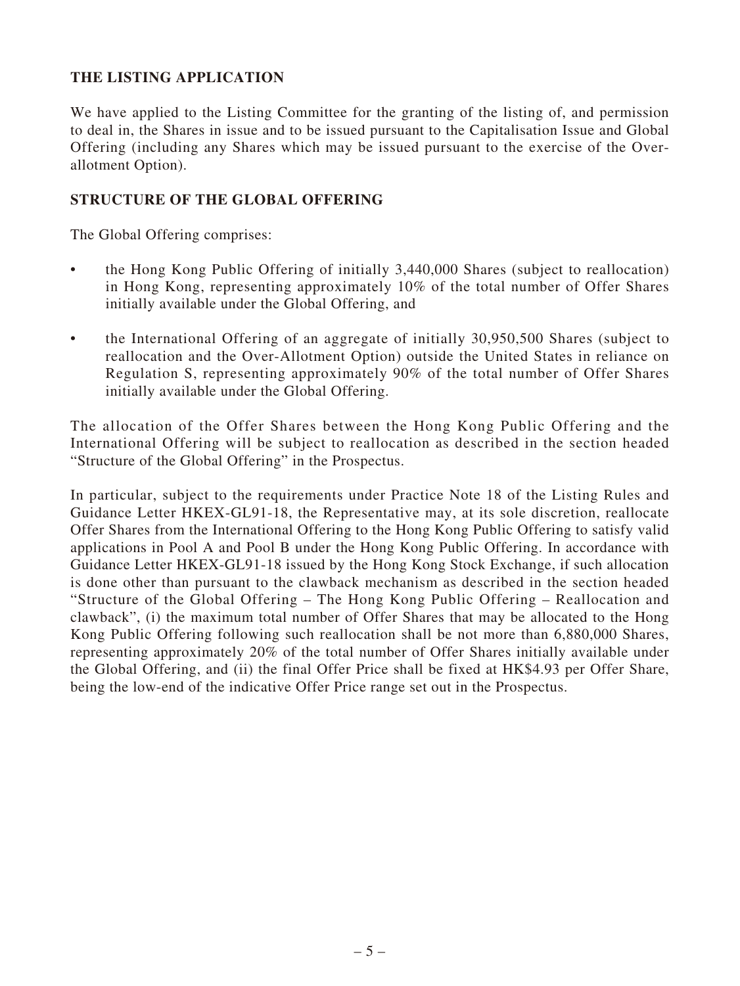# **THE LISTING APPLICATION**

We have applied to the Listing Committee for the granting of the listing of, and permission to deal in, the Shares in issue and to be issued pursuant to the Capitalisation Issue and Global Offering (including any Shares which may be issued pursuant to the exercise of the Overallotment Option).

#### **STRUCTURE OF THE GLOBAL OFFERING**

The Global Offering comprises:

- the Hong Kong Public Offering of initially 3,440,000 Shares (subject to reallocation) in Hong Kong, representing approximately 10% of the total number of Offer Shares initially available under the Global Offering, and
- the International Offering of an aggregate of initially 30,950,500 Shares (subject to reallocation and the Over-Allotment Option) outside the United States in reliance on Regulation S, representing approximately 90% of the total number of Offer Shares initially available under the Global Offering.

The allocation of the Offer Shares between the Hong Kong Public Offering and the International Offering will be subject to reallocation as described in the section headed "Structure of the Global Offering" in the Prospectus.

In particular, subject to the requirements under Practice Note 18 of the Listing Rules and Guidance Letter HKEX-GL91-18, the Representative may, at its sole discretion, reallocate Offer Shares from the International Offering to the Hong Kong Public Offering to satisfy valid applications in Pool A and Pool B under the Hong Kong Public Offering. In accordance with Guidance Letter HKEX-GL91-18 issued by the Hong Kong Stock Exchange, if such allocation is done other than pursuant to the clawback mechanism as described in the section headed "Structure of the Global Offering – The Hong Kong Public Offering – Reallocation and clawback", (i) the maximum total number of Offer Shares that may be allocated to the Hong Kong Public Offering following such reallocation shall be not more than 6,880,000 Shares, representing approximately 20% of the total number of Offer Shares initially available under the Global Offering, and (ii) the final Offer Price shall be fixed at HK\$4.93 per Offer Share, being the low-end of the indicative Offer Price range set out in the Prospectus.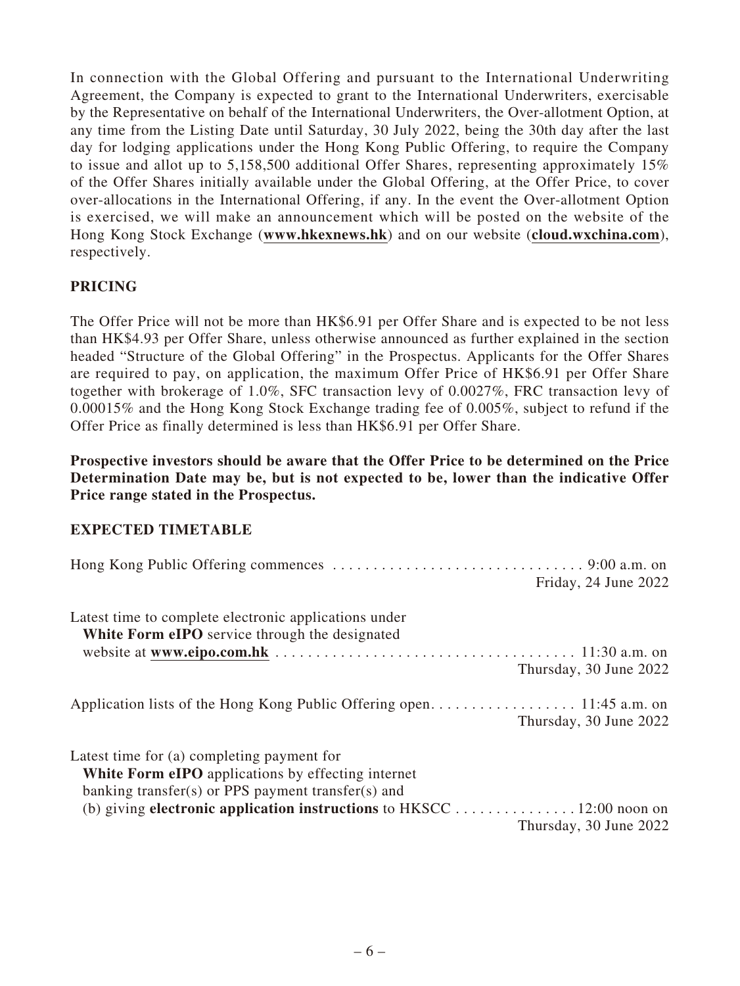In connection with the Global Offering and pursuant to the International Underwriting Agreement, the Company is expected to grant to the International Underwriters, exercisable by the Representative on behalf of the International Underwriters, the Over-allotment Option, at any time from the Listing Date until Saturday, 30 July 2022, being the 30th day after the last day for lodging applications under the Hong Kong Public Offering, to require the Company to issue and allot up to 5,158,500 additional Offer Shares, representing approximately 15% of the Offer Shares initially available under the Global Offering, at the Offer Price, to cover over-allocations in the International Offering, if any. In the event the Over-allotment Option is exercised, we will make an announcement which will be posted on the website of the Hong Kong Stock Exchange (**www.hkexnews.hk**) and on our website (**cloud.wxchina.com**), respectively.

# **PRICING**

The Offer Price will not be more than HK\$6.91 per Offer Share and is expected to be not less than HK\$4.93 per Offer Share, unless otherwise announced as further explained in the section headed "Structure of the Global Offering" in the Prospectus. Applicants for the Offer Shares are required to pay, on application, the maximum Offer Price of HK\$6.91 per Offer Share together with brokerage of 1.0%, SFC transaction levy of 0.0027%, FRC transaction levy of 0.00015% and the Hong Kong Stock Exchange trading fee of 0.005%, subject to refund if the Offer Price as finally determined is less than HK\$6.91 per Offer Share.

**Prospective investors should be aware that the Offer Price to be determined on the Price Determination Date may be, but is not expected to be, lower than the indicative Offer Price range stated in the Prospectus.**

### **EXPECTED TIMETABLE**

|                                                                                                         | Friday, 24 June 2022   |
|---------------------------------------------------------------------------------------------------------|------------------------|
| Latest time to complete electronic applications under<br>White Form eIPO service through the designated |                        |
|                                                                                                         |                        |
|                                                                                                         | Thursday, 30 June 2022 |
|                                                                                                         |                        |
|                                                                                                         | Thursday, 30 June 2022 |
| Latest time for (a) completing payment for                                                              |                        |
| <b>White Form eIPO</b> applications by effecting internet                                               |                        |
| banking transfer(s) or PPS payment transfer(s) and                                                      |                        |
| (b) giving electronic application instructions to HKSCC 12:00 noon on                                   | Thursday, 30 June 2022 |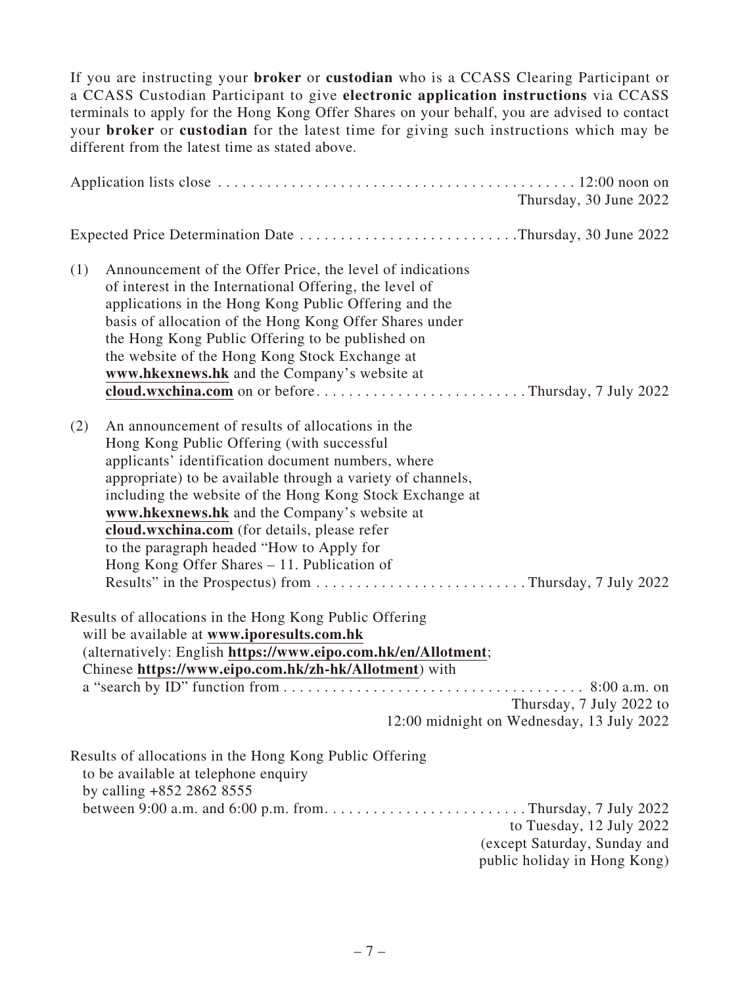If you are instructing your **broker** or **custodian** who is a CCASS Clearing Participant or a CCASS Custodian Participant to give **electronic application instructions** via CCASS terminals to apply for the Hong Kong Offer Shares on your behalf, you are advised to contact your **broker** or **custodian** for the latest time for giving such instructions which may be different from the latest time as stated above.

|     |                                                                                                                                                                                                                                                                                                                                                                                                                                                                                                                                       | Thursday, 30 June 2022                                                                   |
|-----|---------------------------------------------------------------------------------------------------------------------------------------------------------------------------------------------------------------------------------------------------------------------------------------------------------------------------------------------------------------------------------------------------------------------------------------------------------------------------------------------------------------------------------------|------------------------------------------------------------------------------------------|
|     | Expected Price Determination Date Thursday, 30 June 2022                                                                                                                                                                                                                                                                                                                                                                                                                                                                              |                                                                                          |
| (1) | Announcement of the Offer Price, the level of indications<br>of interest in the International Offering, the level of<br>applications in the Hong Kong Public Offering and the<br>basis of allocation of the Hong Kong Offer Shares under<br>the Hong Kong Public Offering to be published on<br>the website of the Hong Kong Stock Exchange at<br>www.hkexnews.hk and the Company's website at<br>cloud.wxchina.com on or beforeThursday, 7 July 2022                                                                                 |                                                                                          |
| (2) | An announcement of results of allocations in the<br>Hong Kong Public Offering (with successful<br>applicants' identification document numbers, where<br>appropriate) to be available through a variety of channels,<br>including the website of the Hong Kong Stock Exchange at<br>www.hkexnews.hk and the Company's website at<br>cloud.wxchina.com (for details, please refer<br>to the paragraph headed "How to Apply for<br>Hong Kong Offer Shares – 11. Publication of<br>Results" in the Prospectus) from Thursday, 7 July 2022 |                                                                                          |
|     | Results of allocations in the Hong Kong Public Offering<br>will be available at www.iporesults.com.hk<br>(alternatively: English https://www.eipo.com.hk/en/Allotment;<br>Chinese https://www.eipo.com.hk/zh-hk/Allotment) with                                                                                                                                                                                                                                                                                                       | Thursday, 7 July 2022 to<br>12:00 midnight on Wednesday, 13 July 2022                    |
|     | Results of allocations in the Hong Kong Public Offering<br>to be available at telephone enquiry<br>by calling $+852$ 2862 8555<br>between 9:00 a.m. and 6:00 p.m. fromThursday, 7 July 2022                                                                                                                                                                                                                                                                                                                                           | to Tuesday, 12 July 2022<br>(except Saturday, Sunday and<br>public holiday in Hong Kong) |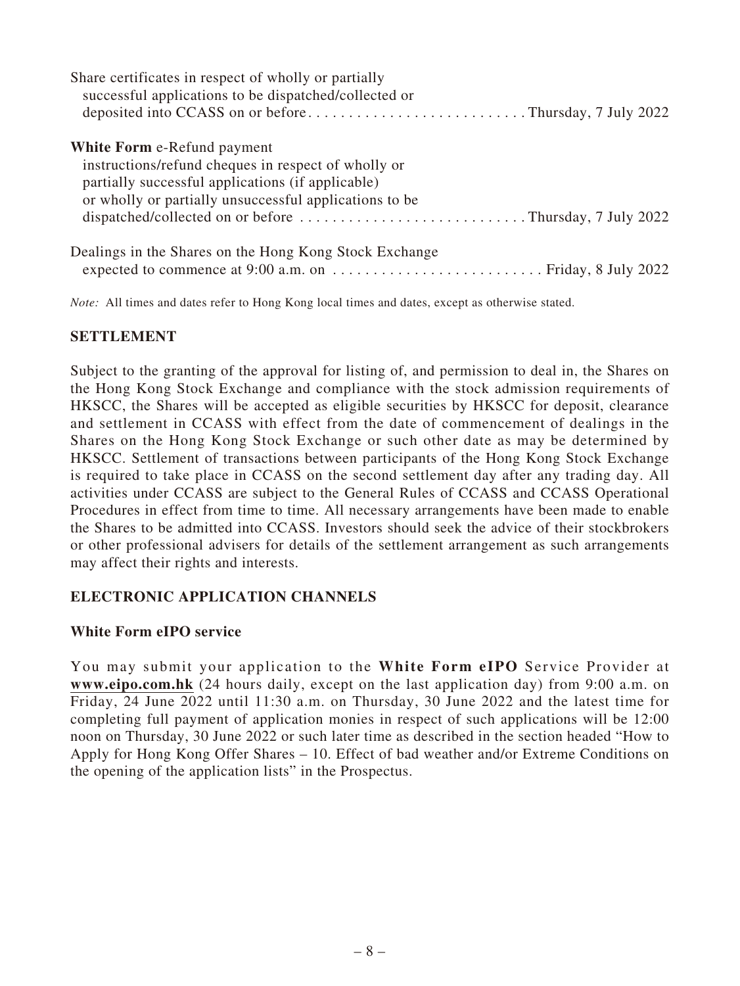| Share certificates in respect of wholly or partially<br>successful applications to be dispatched/collected or<br>deposited into CCASS on or beforeThursday, 7 July 2022                                  |
|----------------------------------------------------------------------------------------------------------------------------------------------------------------------------------------------------------|
| <b>White Form e-Refund payment</b><br>instructions/refund cheques in respect of wholly or<br>partially successful applications (if applicable)<br>or wholly or partially unsuccessful applications to be |
| Dealings in the Shares on the Hong Kong Stock Exchange                                                                                                                                                   |

*Note:* All times and dates refer to Hong Kong local times and dates, except as otherwise stated.

### **SETTLEMENT**

Subject to the granting of the approval for listing of, and permission to deal in, the Shares on the Hong Kong Stock Exchange and compliance with the stock admission requirements of HKSCC, the Shares will be accepted as eligible securities by HKSCC for deposit, clearance and settlement in CCASS with effect from the date of commencement of dealings in the Shares on the Hong Kong Stock Exchange or such other date as may be determined by HKSCC. Settlement of transactions between participants of the Hong Kong Stock Exchange is required to take place in CCASS on the second settlement day after any trading day. All activities under CCASS are subject to the General Rules of CCASS and CCASS Operational Procedures in effect from time to time. All necessary arrangements have been made to enable the Shares to be admitted into CCASS. Investors should seek the advice of their stockbrokers or other professional advisers for details of the settlement arrangement as such arrangements may affect their rights and interests.

# **ELECTRONIC APPLICATION CHANNELS**

### **White Form eIPO service**

You may submit your application to the **White Form eIPO** Service Provider at **www.eipo.com.hk** (24 hours daily, except on the last application day) from 9:00 a.m. on Friday, 24 June 2022 until 11:30 a.m. on Thursday, 30 June 2022 and the latest time for completing full payment of application monies in respect of such applications will be 12:00 noon on Thursday, 30 June 2022 or such later time as described in the section headed "How to Apply for Hong Kong Offer Shares – 10. Effect of bad weather and/or Extreme Conditions on the opening of the application lists" in the Prospectus.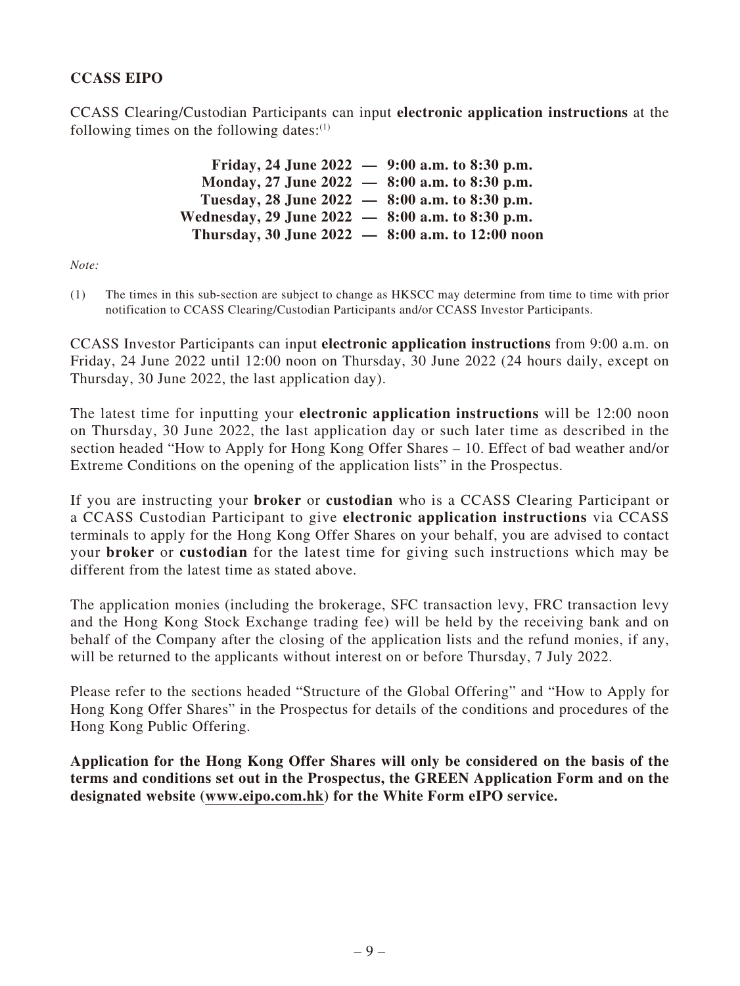# **CCASS EIPO**

CCASS Clearing/Custodian Participants can input **electronic application instructions** at the following times on the following dates: $(1)$ 

> **Friday, 24 June 2022 — 9:00 a.m. to 8:30 p.m. Monday, 27 June 2022 — 8:00 a.m. to 8:30 p.m. Tuesday, 28 June 2022 — 8:00 a.m. to 8:30 p.m. Wednesday, 29 June 2022 — 8:00 a.m. to 8:30 p.m. Thursday, 30 June 2022 — 8:00 a.m. to 12:00 noon**

*Note:*

(1) The times in this sub-section are subject to change as HKSCC may determine from time to time with prior notification to CCASS Clearing/Custodian Participants and/or CCASS Investor Participants.

CCASS Investor Participants can input **electronic application instructions** from 9:00 a.m. on Friday, 24 June 2022 until 12:00 noon on Thursday, 30 June 2022 (24 hours daily, except on Thursday, 30 June 2022, the last application day).

The latest time for inputting your **electronic application instructions** will be 12:00 noon on Thursday, 30 June 2022, the last application day or such later time as described in the section headed "How to Apply for Hong Kong Offer Shares – 10. Effect of bad weather and/or Extreme Conditions on the opening of the application lists" in the Prospectus.

If you are instructing your **broker** or **custodian** who is a CCASS Clearing Participant or a CCASS Custodian Participant to give **electronic application instructions** via CCASS terminals to apply for the Hong Kong Offer Shares on your behalf, you are advised to contact your **broker** or **custodian** for the latest time for giving such instructions which may be different from the latest time as stated above.

The application monies (including the brokerage, SFC transaction levy, FRC transaction levy and the Hong Kong Stock Exchange trading fee) will be held by the receiving bank and on behalf of the Company after the closing of the application lists and the refund monies, if any, will be returned to the applicants without interest on or before Thursday, 7 July 2022.

Please refer to the sections headed "Structure of the Global Offering" and "How to Apply for Hong Kong Offer Shares" in the Prospectus for details of the conditions and procedures of the Hong Kong Public Offering.

**Application for the Hong Kong Offer Shares will only be considered on the basis of the terms and conditions set out in the Prospectus, the GREEN Application Form and on the designated website (www.eipo.com.hk) for the White Form eIPO service.**